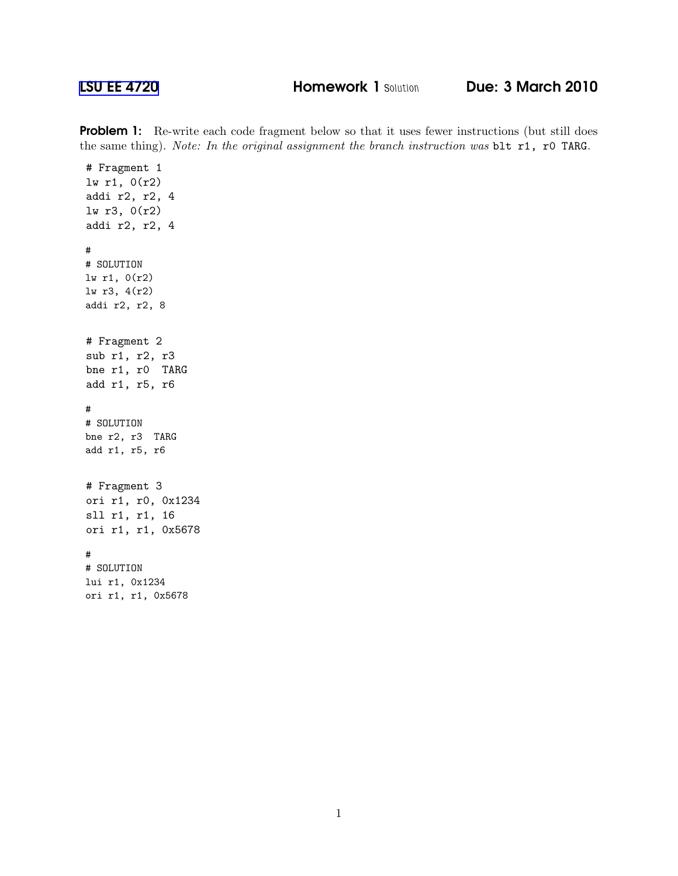**Problem 1:** Re-write each code fragment below so that it uses fewer instructions (but still does the same thing). Note: In the original assignment the branch instruction was blt r1, r0 TARG.

```
# Fragment 1
lw r1, 0(r2)
addi r2, r2, 4
lw r3, 0(r2)
addi r2, r2, 4
#
# SOLUTION
lw r1, 0(r2)
lw r3, 4(r2)
addi r2, r2, 8
# Fragment 2
sub r1, r2, r3
bne r1, r0 TARG
add r1, r5, r6
#
# SOLUTION
bne r2, r3 TARG
add r1, r5, r6
# Fragment 3
ori r1, r0, 0x1234
sll r1, r1, 16
ori r1, r1, 0x5678
#
# SOLUTION
lui r1, 0x1234
ori r1, r1, 0x5678
```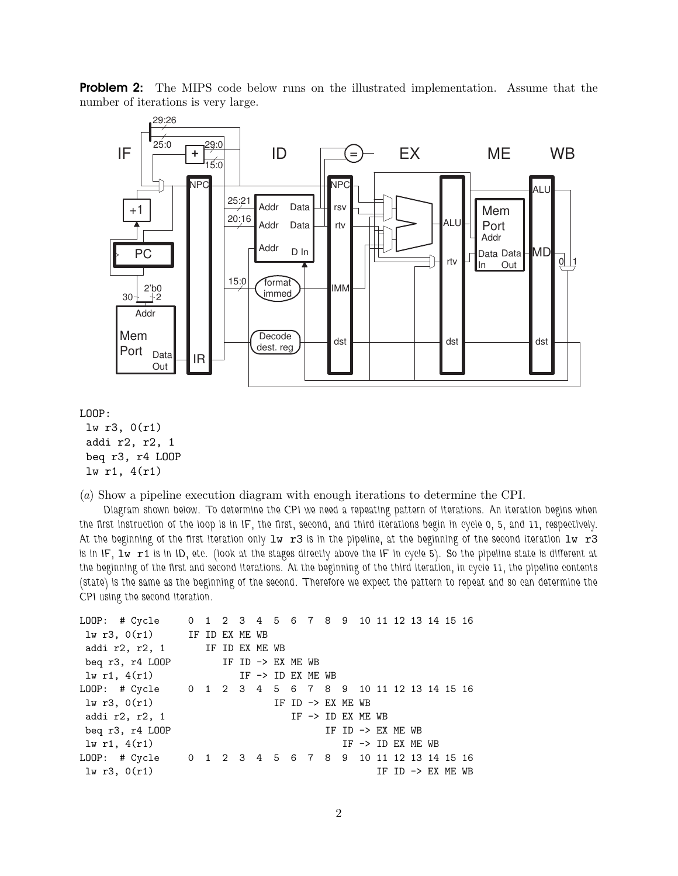

**Problem 2:** The MIPS code below runs on the illustrated implementation. Assume that the number of iterations is very large.

LOOP:

lw r3, 0(r1) addi r2, r2, 1 beq r3, r4 LOOP lw r1, 4(r1)

(a) Show a pipeline execution diagram with enough iterations to determine the CPI.

Diagram shown below. To determine the CPI we need a repeating pattern of iterations. An iteration begins when the first instruction of the loop is in IF, the first, second, and third iterations begin in cycle 0, 5, and 11, respectively. At the beginning of the first iteration only  $1w$  r3 is in the pipeline, at the beginning of the second iteration  $1w$  r3 is in IF, lw r1 is in ID, etc. (look at the stages directly above the IF in cycle 5). So the pipeline state is different at the beginning of the first and second iterations. At the beginning of the third iteration, in cycle 11, the pipeline contents (state) is the same as the beginning of the second. Therefore we expect the pattern to repeat and so can determine the CPI using the second iteration.

```
LOOP: # Cycle 0 1 2 3 4 5 6 7 8 9 10 11 12 13 14 15 16
lw r3, 0(r1) IF ID EX ME WB
addi r2, r2, 1 IF ID EX ME WB
beq r3, r4 LOOP IF ID -> EX ME WB
lw r1, 4(r1) IF \rightarrow ID EX ME WB
LOOP: # Cycle 0 1 2 3 4 5 6 7 8 9 10 11 12 13 14 15 16
lw r3, 0(r1) IF ID -> EX ME WB
addi r2, r2, 1 IF \rightarrow ID EX ME WBbeq r3, r4 LOOP IF ID \rightarrow EX ME WB
\text{lw } r1, 4(r1) IF -> ID EX ME WB
LOOP: # Cycle 0 1 2 3 4 5 6 7 8 9 10 11 12 13 14 15 16
\ln r3, 0(r1) IF ID -> EX ME WB
```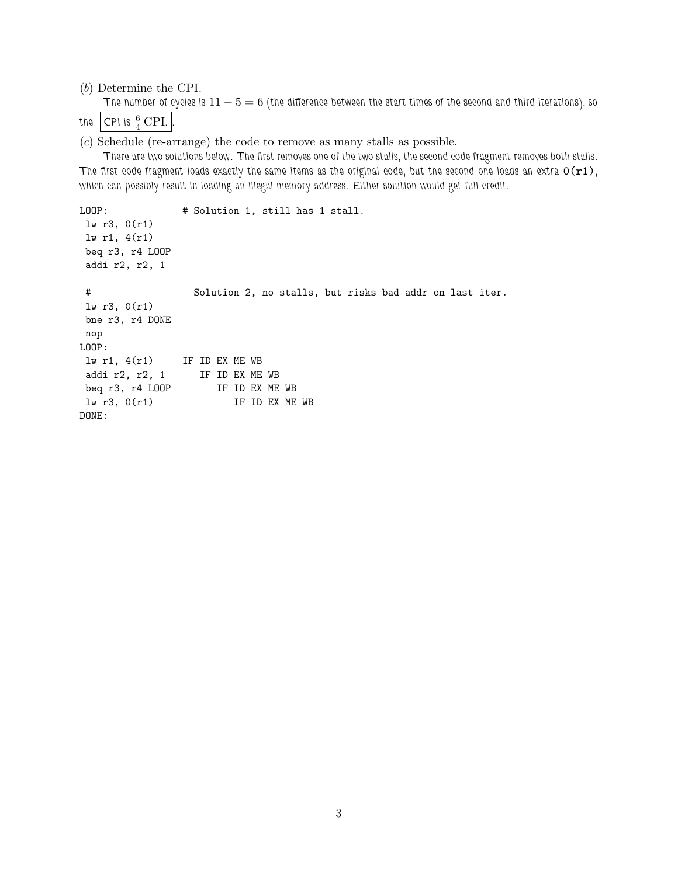(b) Determine the CPI.

The number of cycles is  $11 - 5 = 6$  (the difference between the start times of the second and third iterations), so the CPI is  $\frac{6}{4}$  CPI.

(c) Schedule (re-arrange) the code to remove as many stalls as possible.

There are two solutions below. The first removes one of the two stalls, the second code fragment removes both stalls. The first code fragment loads exactly the same items as the original code, but the second one loads an extra  $O(r1)$ , which can possibly result in loading an illegal memory address. Either solution would get full credit.

```
LOOP: # Solution 1, still has 1 stall.
lw r3, 0(r1)
lw r1, 4(r1)
beq r3, r4 LOOP
addi r2, r2, 1
# Solution 2, no stalls, but risks bad addr on last iter.
lw r3, 0(r1)
bne r3, r4 DONE
nop
LOOP:
lw r1, 4(r1) IF ID EX ME WB
addi r2, r2, 1 IF ID EX ME WB
beq r3, r4 LOOP IF ID EX ME WB
lw r3, 0(r1) IF ID EX ME WB
DONE:
```
3